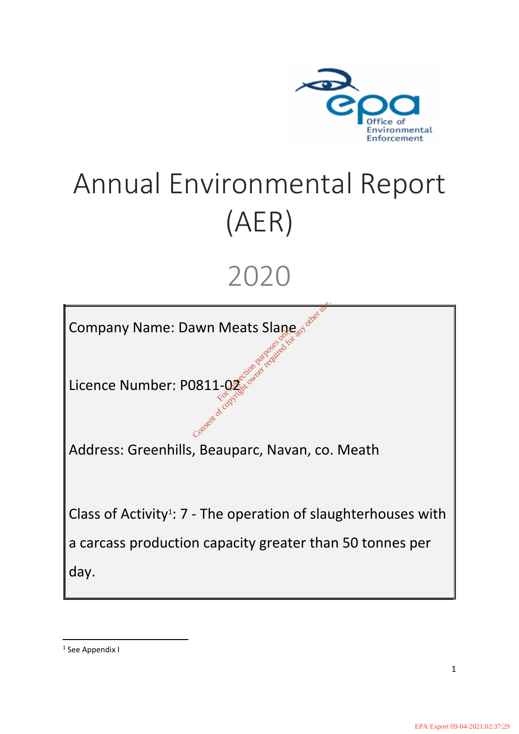

# Annual Environmental Report (AER)

## 2020

Company Name: Dawn Meats Slane awn Meats Slane<sub>s of checkers</sub><br>0811-03 (inspection purposes of co<sub>pyright</sub><br>consent of copyright owner required for any

Licence Number: P0811-02<br>فَهِيَمَ الْكَلِمِينَ عَلَيْهِمْ عَلَيْهِمْ مِنْ الْمَسْتَمَامِينَ عَلَيْهِمْ مِنْ الْمَسْتَمَامِينَ مِنْ الْ

Address: Greenhills, Beauparc, Navan, co. Meath

Class of Activity<sup>1</sup>:  $7$  - The operation of slaughterhouses with a carcass production capacity greater than 50 tonnes per day.

<sup>1</sup> See Appendix I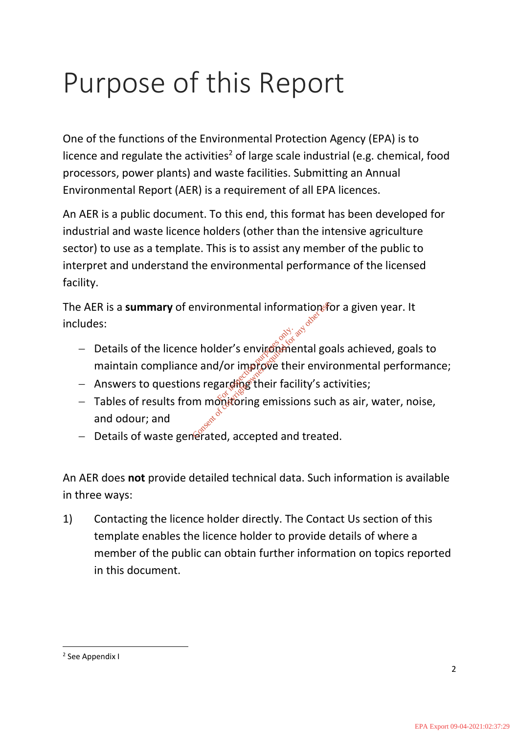## Purpose of this Report

One of the functions of the Environmental Protection Agency (EPA) is to licence and regulate the activities<sup>2</sup> of large scale industrial (e.g. chemical, food processors, power plants) and waste facilities. Submitting an Annual Environmental Report (AER) is a requirement of all EPA licences.

An AER is a public document. To this end, this format has been developed for industrial and waste licence holders (other than the intensive agriculture sector) to use as a template. This is to assist any member of the public to interpret and understand the environmental performance of the licensed facility.

The AER is a **summary** of environmental information for a given year. It includes:

- − Details of the licence holder's environmental goals achieved, goals to maintain compliance and/or improve their environmental performance; For imperience holder's environment<br>for imperior inspection purposes the<br>ins regarding their factor in monitoring emissi Environmental informations is<br>
a holder's environmental go.<br>
Le and/or improve their environs regarding their facility's ac<br>
m monitoring emissions such<br>
recated accepted and treate
- − Answers to questions regarding their facility's activities;
- − Tables of results from monitoring emissions such as air, water, noise, and odour; and
- − Details of waste generated, accepted and treated.

An AER does **not** provide detailed technical data. Such information is available in three ways:

1) Contacting the licence holder directly. The Contact Us section of this template enables the licence holder to provide details of where a member of the public can obtain further information on topics reported in this document.

<sup>2</sup> See Appendix I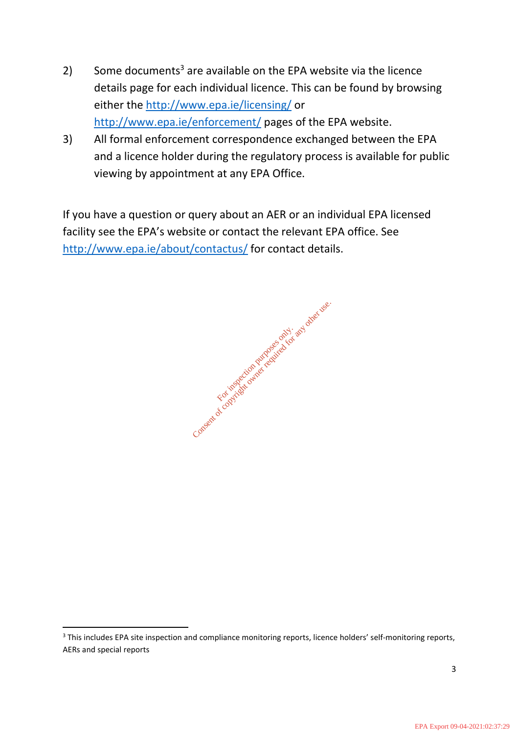- 2) Some documents<sup>3</sup> are available on the EPA website via the licence details page for each individual licence. This can be found by browsing either the<http://www.epa.ie/licensing/> or <http://www.epa.ie/enforcement/> pages of the EPA website.
- 3) All formal enforcement correspondence exchanged between the EPA and a licence holder during the regulatory process is available for public viewing by appointment at any EPA Office.

If you have a question or query about an AER or an individual EPA licensed facility see the EPA's website or contact the relevant EPA office. See <http://www.epa.ie/about/contactus/> for contact details.



<sup>&</sup>lt;sup>3</sup> This includes EPA site inspection and compliance monitoring reports, licence holders' self-monitoring reports, AERs and special reports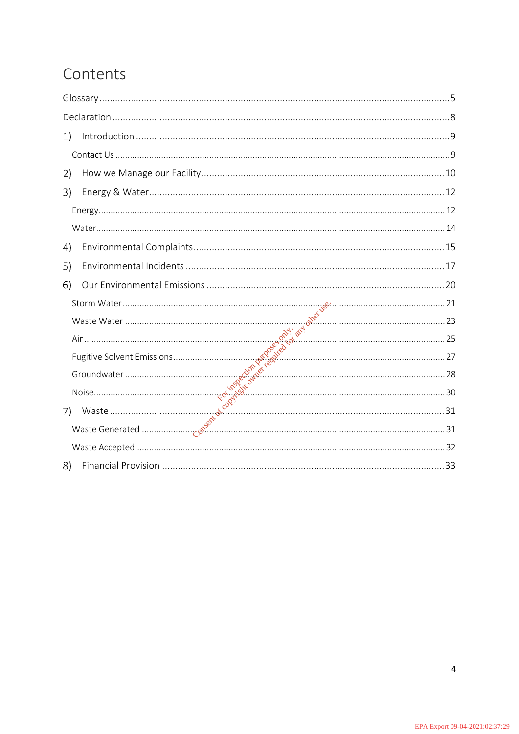### Contents

| 1) |  |
|----|--|
|    |  |
| 2) |  |
| 3) |  |
|    |  |
|    |  |
| 4) |  |
| 5) |  |
| 6) |  |
|    |  |
|    |  |
|    |  |
|    |  |
|    |  |
|    |  |
| 7) |  |
|    |  |
|    |  |
| 8) |  |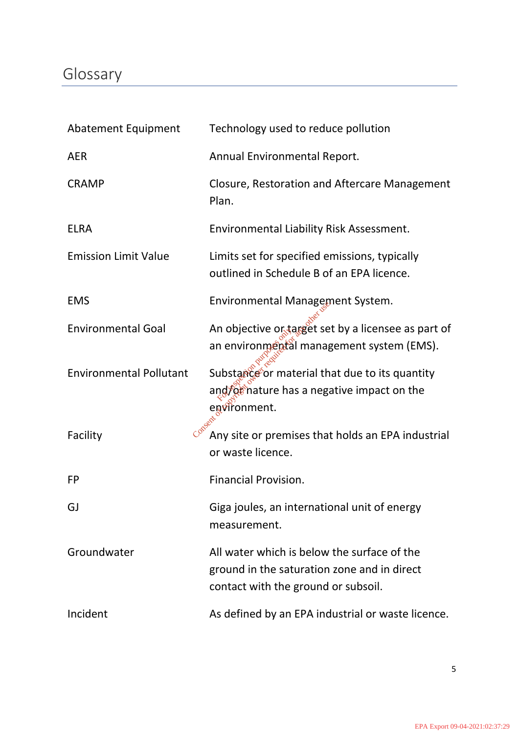### <span id="page-4-0"></span>Glossary

| <b>Abatement Equipment</b>     | Technology used to reduce pollution                                                                                               |
|--------------------------------|-----------------------------------------------------------------------------------------------------------------------------------|
| <b>AER</b>                     | Annual Environmental Report.                                                                                                      |
| <b>CRAMP</b>                   | <b>Closure, Restoration and Aftercare Management</b><br>Plan.                                                                     |
| <b>ELRA</b>                    | Environmental Liability Risk Assessment.                                                                                          |
| <b>Emission Limit Value</b>    | Limits set for specified emissions, typically<br>outlined in Schedule B of an EPA licence.                                        |
| <b>EMS</b>                     | Environmental Management System.                                                                                                  |
| <b>Environmental Goal</b>      | An objective or target set by a licensee as part of<br>an environmental management system (EMS).                                  |
| <b>Environmental Pollutant</b> | Substance or material that due to its quantity<br>and/or nature has a negative impact on the<br>environment.                      |
| Facility                       | Any site or premises that holds an EPA industrial<br>or waste licence.                                                            |
| <b>FP</b>                      | <b>Financial Provision.</b>                                                                                                       |
| GJ                             | Giga joules, an international unit of energy<br>measurement.                                                                      |
| Groundwater                    | All water which is below the surface of the<br>ground in the saturation zone and in direct<br>contact with the ground or subsoil. |
| Incident                       | As defined by an EPA industrial or waste licence.                                                                                 |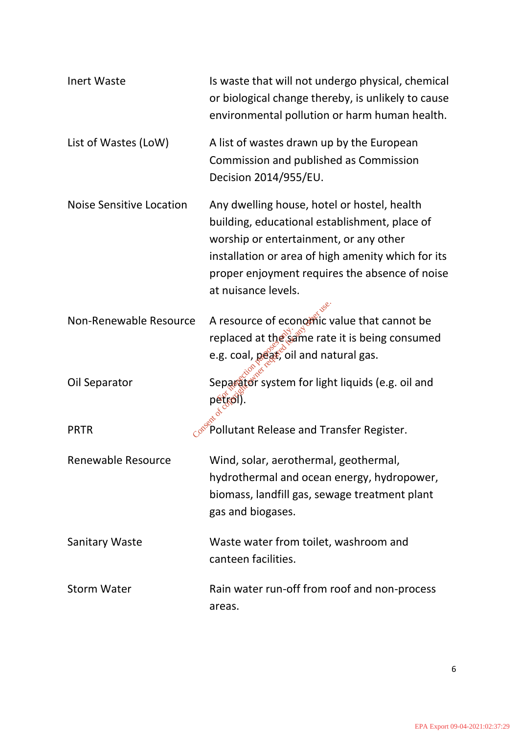| <b>Inert Waste</b>              | Is waste that will not undergo physical, chemical<br>or biological change thereby, is unlikely to cause<br>environmental pollution or harm human health.                                                                                                              |
|---------------------------------|-----------------------------------------------------------------------------------------------------------------------------------------------------------------------------------------------------------------------------------------------------------------------|
| List of Wastes (LoW)            | A list of wastes drawn up by the European<br>Commission and published as Commission<br>Decision 2014/955/EU.                                                                                                                                                          |
| <b>Noise Sensitive Location</b> | Any dwelling house, hotel or hostel, health<br>building, educational establishment, place of<br>worship or entertainment, or any other<br>installation or area of high amenity which for its<br>proper enjoyment requires the absence of noise<br>at nuisance levels. |
| Non-Renewable Resource          | A resource of economic value that cannot be<br>replaced at the same rate it is being consumed<br>e.g. coal, peat, oil and natural gas.                                                                                                                                |
| Oil Separator                   | Separator system for light liquids (e.g. oil and<br>pétkől).                                                                                                                                                                                                          |
| <b>PRTR</b>                     | <b>Pollutant Release and Transfer Register.</b>                                                                                                                                                                                                                       |
| Renewable Resource              | Wind, solar, aerothermal, geothermal,<br>hydrothermal and ocean energy, hydropower,<br>biomass, landfill gas, sewage treatment plant<br>gas and biogases.                                                                                                             |
| <b>Sanitary Waste</b>           | Waste water from toilet, washroom and<br>canteen facilities.                                                                                                                                                                                                          |
| <b>Storm Water</b>              | Rain water run-off from roof and non-process<br>areas.                                                                                                                                                                                                                |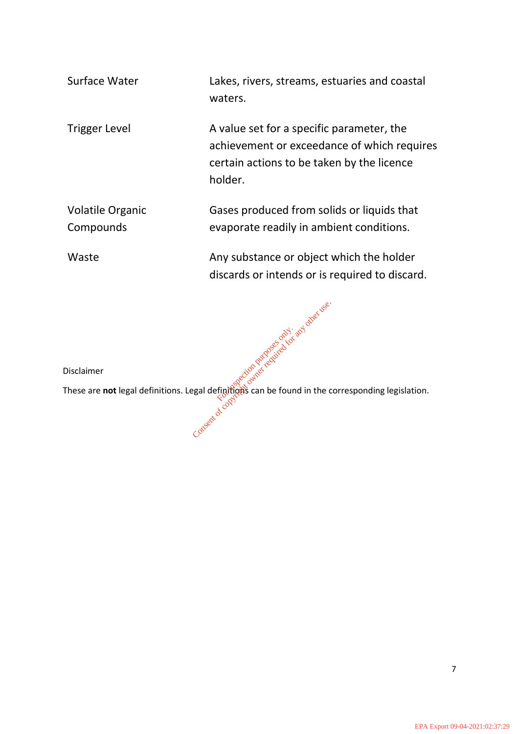| Surface Water                        | Lakes, rivers, streams, estuaries and coastal<br>waters.                                                                                          |
|--------------------------------------|---------------------------------------------------------------------------------------------------------------------------------------------------|
| Trigger Level                        | A value set for a specific parameter, the<br>achievement or exceedance of which requires<br>certain actions to be taken by the licence<br>holder. |
| <b>Volatile Organic</b><br>Compounds | Gases produced from solids or liquids that<br>evaporate readily in ambient conditions.                                                            |
| Waste                                | Any substance or object which the holder<br>discards or intends or is required to discard.                                                        |

Disclaimer

These are **not** legal definitions. Legal definitions can be found in the corresponding legislation. Consent of copyright owner required for any other use.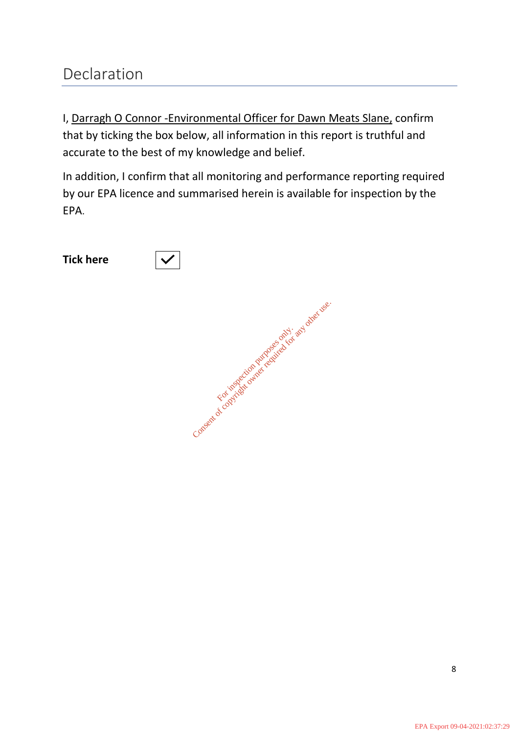### <span id="page-7-0"></span>Declaration

I, Darragh O Connor -Environmental Officer for Dawn Meats Slane, confirm that by ticking the box below, all information in this report is truthful and accurate to the best of my knowledge and belief.

In addition, I confirm that all monitoring and performance reporting required by our EPA licence and summarised herein is available for inspection by the EPA.

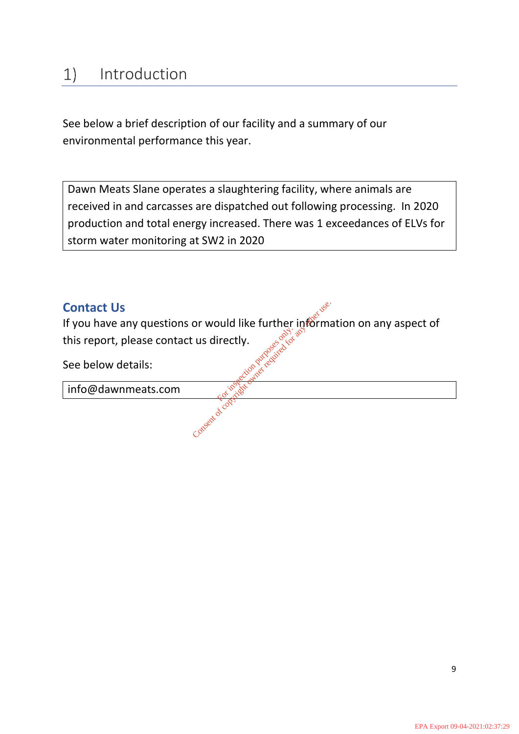<span id="page-8-0"></span>See below a brief description of our facility and a summary of our environmental performance this year.

Dawn Meats Slane operates a slaughtering facility, where animals are received in and carcasses are dispatched out following processing. In 2020 production and total energy increased. There was 1 exceedances of ELVs for storm water monitoring at SW2 in 2020

#### <span id="page-8-1"></span>**Contact Us**

If you have any questions or would like further information on any aspect of this report, please contact us directly.<br>See below details:<br> $\Box$ or would like further information of the conservation of the contraction of the conservation of the conservation of the conservation of the conservation of the conservation of the conservation of the conservation of the co

Consent of cop

See below details:

info@dawnmeats.com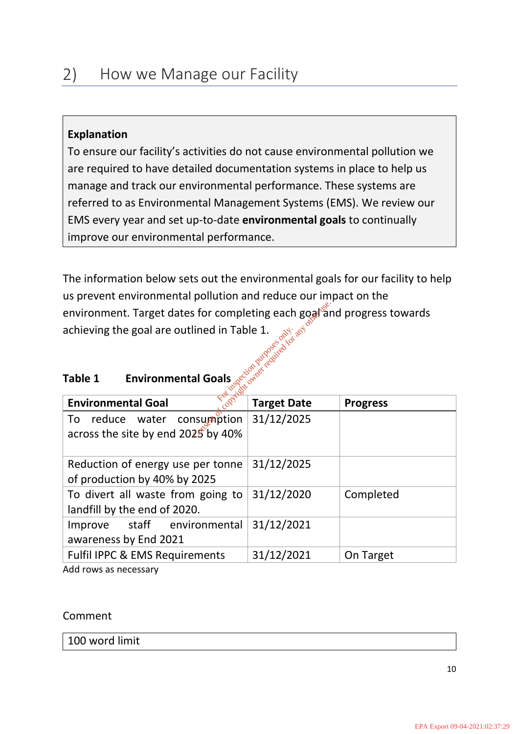#### <span id="page-9-0"></span>**Explanation**

To ensure our facility's activities do not cause environmental pollution we are required to have detailed documentation systems in place to help us manage and track our environmental performance. These systems are referred to as Environmental Management Systems (EMS). We review our EMS every year and set up-to-date **environmental goals** to continually improve our environmental performance.

The information below sets out the environmental goals for our facility to help us prevent environmental pollution and reduce our impact on the environment. Target dates for completing each goal and progress towards achieving the goal are outlined in Table 1.<br>
Table 1. Environt Environt League 2. Table 1. Environt League 2. Table 1.

#### **Table 1 Environmental Goals**

| environment. Target dates for completing each goal and progress towards<br>Purposured for any<br>achieving the goal are outlined in Table 1. |                    |                 |  |
|----------------------------------------------------------------------------------------------------------------------------------------------|--------------------|-----------------|--|
| <b>Environmental Goals</b><br>Table 1                                                                                                        |                    |                 |  |
| <b>Environmental Goal</b>                                                                                                                    | <b>Target Date</b> | <b>Progress</b> |  |
| To reduce water<br>consumption<br>across the site by end 2025 by 40%                                                                         | 31/12/2025         |                 |  |
| Reduction of energy use per tonne<br>of production by 40% by 2025                                                                            | 31/12/2025         |                 |  |
| To divert all waste from going to<br>landfill by the end of 2020.                                                                            | 31/12/2020         | Completed       |  |
| Improve staff<br>environmental<br>awareness by End 2021                                                                                      | 31/12/2021         |                 |  |
| Fulfil IPPC & EMS Requirements                                                                                                               | 31/12/2021         | On Target       |  |
| Add rows as necessary                                                                                                                        |                    |                 |  |

Comment

100 word limit

10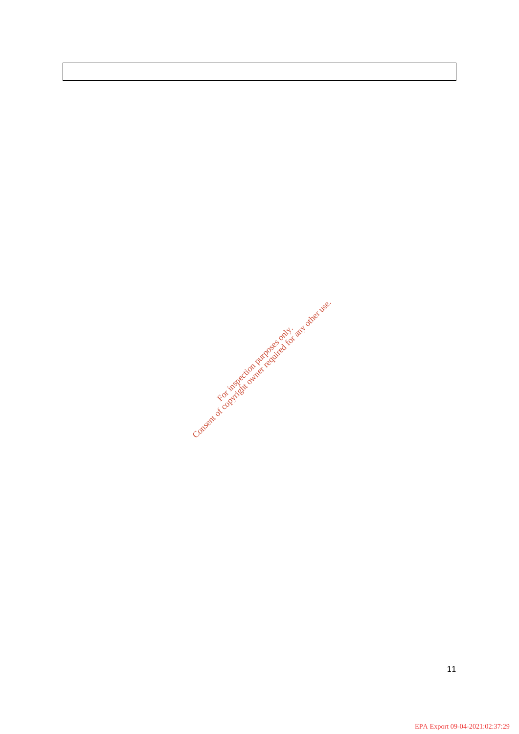Consent of cor inspection purposes only. and other use.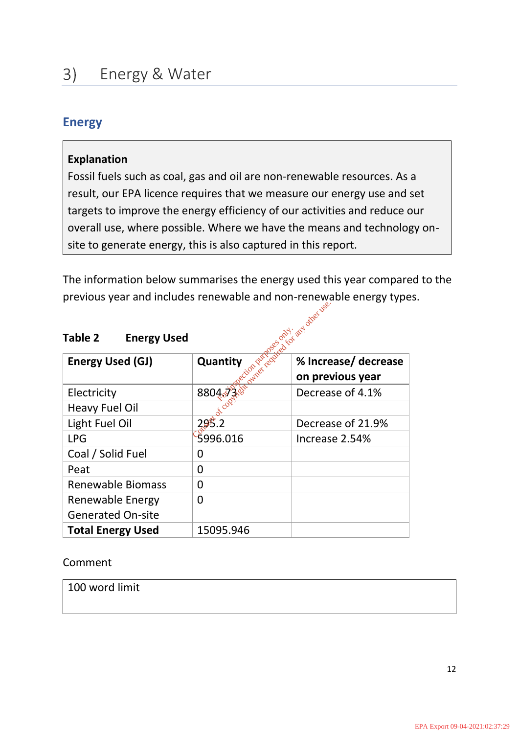#### <span id="page-11-1"></span><span id="page-11-0"></span>**Energy**

#### **Explanation**

Fossil fuels such as coal, gas and oil are non-renewable resources. As a result, our EPA licence requires that we measure our energy use and set targets to improve the energy efficiency of our activities and reduce our overall use, where possible. Where we have the means and technology onsite to generate energy, this is also captured in this report.

The information below summarises the energy used this year compared to the previous year and includes renewable and non-renewable energy types.

| previous year and includes renewable and non-renewable energy type       |           |                      |  |  |
|--------------------------------------------------------------------------|-----------|----------------------|--|--|
|                                                                          |           |                      |  |  |
| Pointed Miles of the line of the first.<br>Table 2<br><b>Energy Used</b> |           |                      |  |  |
| <b>Energy Used (GJ)</b>                                                  | Quantity  | % Increase/ decrease |  |  |
|                                                                          |           | on previous year     |  |  |
| Electricity                                                              | 8804.     | Decrease of 4.1%     |  |  |
| <b>Heavy Fuel Oil</b>                                                    |           |                      |  |  |
| Light Fuel Oil                                                           | 295.2     | Decrease of 21.9%    |  |  |
| <b>LPG</b>                                                               | 5996.016  | Increase 2.54%       |  |  |
| Coal / Solid Fuel                                                        | 0         |                      |  |  |
| Peat                                                                     | 0         |                      |  |  |
| <b>Renewable Biomass</b>                                                 | 0         |                      |  |  |
| <b>Renewable Energy</b>                                                  | 0         |                      |  |  |
| <b>Generated On-site</b>                                                 |           |                      |  |  |
| <b>Total Energy Used</b>                                                 | 15095.946 |                      |  |  |

#### **Table 2 Energy Used**

Comment

100 word limit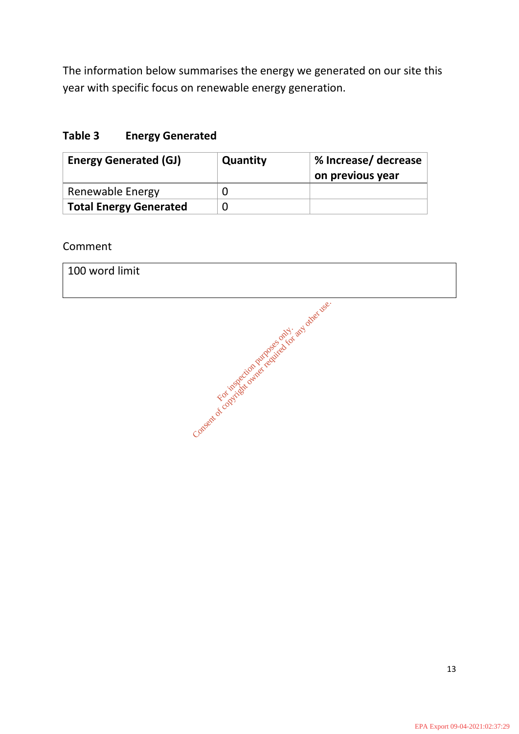The information below summarises the energy we generated on our site this year with specific focus on renewable energy generation.

#### **Table 3 Energy Generated**

| <b>Energy Generated (GJ)</b>  | Quantity | % Increase/ decrease<br>on previous year |
|-------------------------------|----------|------------------------------------------|
| Renewable Energy              |          |                                          |
| <b>Total Energy Generated</b> |          |                                          |

Comment

| 100 word limit |                                                                                                                                                                                                                               |  |
|----------------|-------------------------------------------------------------------------------------------------------------------------------------------------------------------------------------------------------------------------------|--|
|                | Consent of co. With the oxygen of the action of the first decided in the consent of construction of the distribution of the consent of the consent of the consent of the consent of the consent of the consent of the consent |  |
|                |                                                                                                                                                                                                                               |  |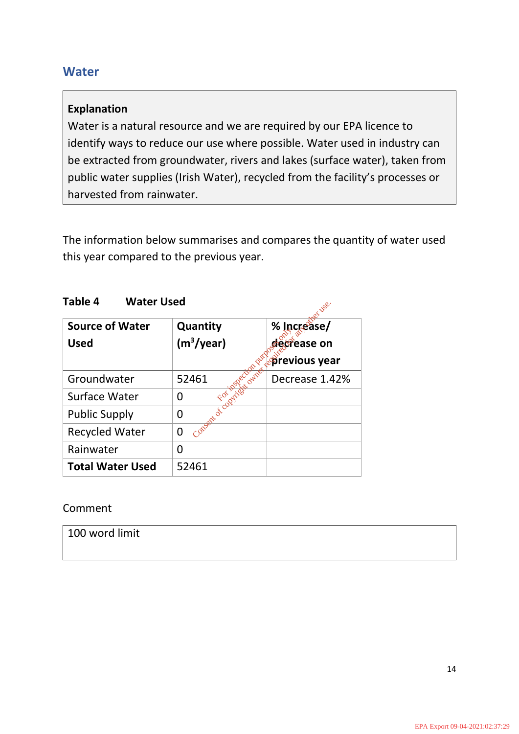#### <span id="page-13-0"></span>**Water**

#### **Explanation**

Water is a natural resource and we are required by our EPA licence to identify ways to reduce our use where possible. Water used in industry can be extracted from groundwater, rivers and lakes (surface water), taken from public water supplies (Irish Water), recycled from the facility's processes or harvested from rainwater.

The information below summarises and compares the quantity of water used this year compared to the previous year.

| LANIC 4<br><i><b>VVALEI USEU</b></i> |                        |                |
|--------------------------------------|------------------------|----------------|
| <b>Source of Water</b>               | Quantity               |                |
| <b>Used</b>                          | (m <sup>3</sup> /year) | decrease on    |
|                                      |                        | previous year  |
| Groundwater                          | 52461                  | Decrease 1.42% |
| <b>Surface Water</b>                 | Conseil of Grant<br>O  |                |
| <b>Public Supply</b>                 | O                      |                |
| <b>Recycled Water</b>                | 0                      |                |
| Rainwater                            | O                      |                |
| <b>Total Water Used</b>              | 52461                  |                |

Comment

| 100 word limit |  |  |
|----------------|--|--|
|                |  |  |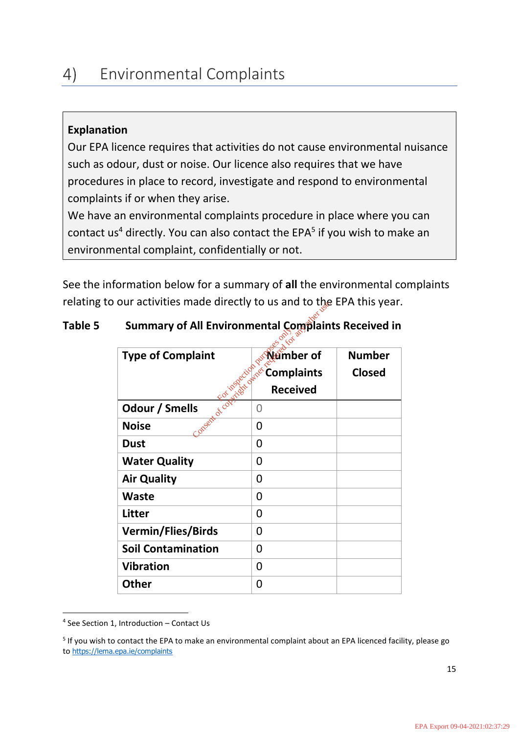#### <span id="page-14-0"></span>Environmental Complaints  $4)$

#### **Explanation**

Our EPA licence requires that activities do not cause environmental nuisance such as odour, dust or noise. Our licence also requires that we have procedures in place to record, investigate and respond to environmental complaints if or when they arise.

We have an environmental complaints procedure in place where you can contact us<sup>4</sup> directly. You can also contact the EPA<sup>5</sup> if you wish to make an environmental complaint, confidentially or not.

See the information below for a summary of **all** the environmental complaints relating to our activities made directly to us and to the EPA this year.

### **Table 5 Summary of All Environmental Complaints Received in**

| <b>Type of Complaint</b>  | ells sorting of the Receiver | <b>Number</b> |
|---------------------------|------------------------------|---------------|
|                           |                              | <b>Closed</b> |
|                           |                              |               |
| Odour / Smells            |                              |               |
| <b>Noise</b>              |                              |               |
| <b>Dust</b>               | 0                            |               |
| <b>Water Quality</b>      | 0                            |               |
| <b>Air Quality</b>        | 0                            |               |
| <b>Waste</b>              | 0                            |               |
| <b>Litter</b>             | 0                            |               |
| <b>Vermin/Flies/Birds</b> | 0                            |               |
| <b>Soil Contamination</b> | 0                            |               |
| <b>Vibration</b>          | 0                            |               |
| <b>Other</b>              | 0                            |               |

<sup>4</sup> See Section 1, Introduction – Contact Us

<sup>&</sup>lt;sup>5</sup> If you wish to contact the EPA to make an environmental complaint about an EPA licenced facility, please go to <https://lema.epa.ie/complaints>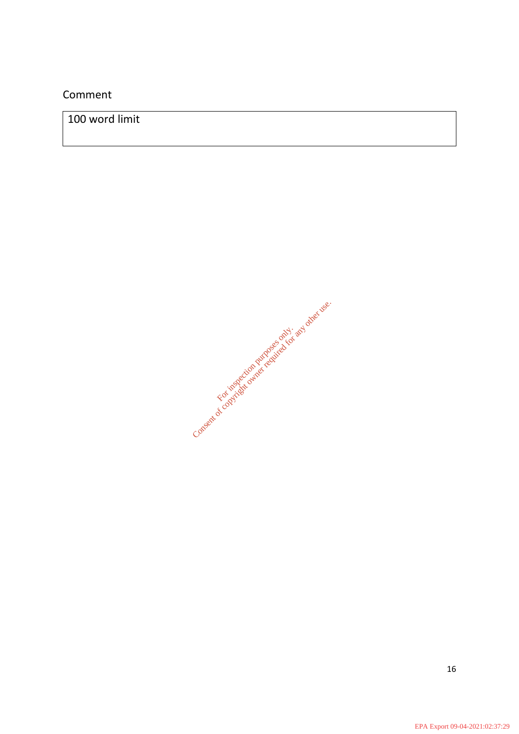Comment

#### 100 word limit

Consent of cor inspection purposes only. and other use.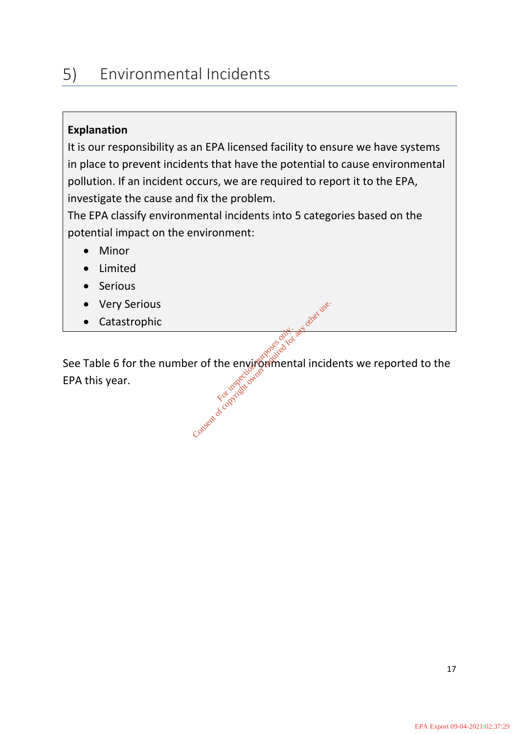#### <span id="page-16-0"></span> $5)$ Environmental Incidents

#### **Explanation**

It is our responsibility as an EPA licensed facility to ensure we have systems in place to prevent incidents that have the potential to cause environmental pollution. If an incident occurs, we are required to report it to the EPA, investigate the cause and fix the problem.

The EPA classify environmental incidents into 5 categories based on the potential impact on the environment:

- Minor
- Limited
- **Serious**
- **Very Serious**
- Catastrophic

See Table 6 for the number of the environmental incidents we reported to the EPA this year. Consent of copyright owner required for any other any other limited for any other limited for any other limited for any other limited for any other limited for any other limited for any other limited for any other limited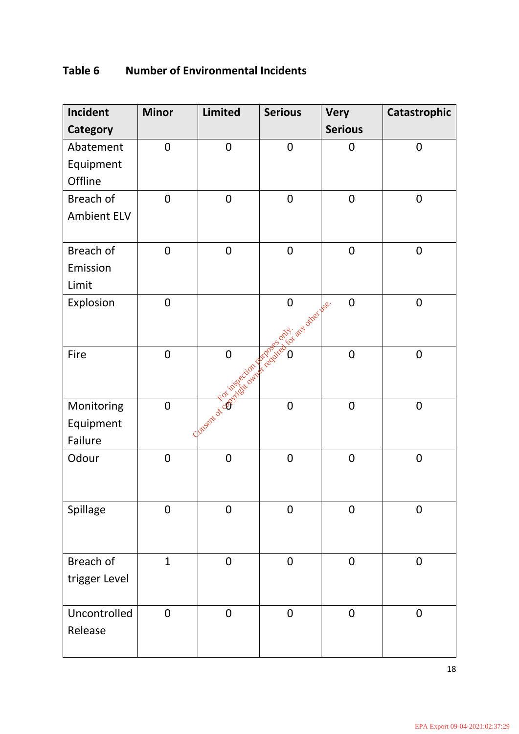#### **Table 6 Number of Environmental Incidents**

| Incident                | <b>Minor</b>   | <b>Limited</b>                           | <b>Serious</b>       | <b>Very</b>    | Catastrophic   |
|-------------------------|----------------|------------------------------------------|----------------------|----------------|----------------|
| Category                |                |                                          |                      | <b>Serious</b> |                |
| Abatement               | $\overline{0}$ | $\mathbf 0$                              | $\mathbf 0$          | $\mathbf 0$    | $\mathbf 0$    |
| Equipment               |                |                                          |                      |                |                |
| Offline                 |                |                                          |                      |                |                |
| Breach of               | $\mathbf 0$    | $\mathbf 0$                              | $\mathbf 0$          | $\mathbf 0$    | $\mathbf 0$    |
| <b>Ambient ELV</b>      |                |                                          |                      |                |                |
|                         |                |                                          |                      |                |                |
| Breach of               | $\mathbf 0$    | $\pmb{0}$                                | $\mathbf 0$          | $\mathbf 0$    | $\mathbf 0$    |
| Emission                |                |                                          |                      |                |                |
| Limit                   |                |                                          |                      |                |                |
| Explosion               | $\mathbf 0$    |                                          | Let's and other lee. | $\overline{0}$ | $\mathbf 0$    |
|                         |                |                                          |                      |                |                |
|                         |                |                                          |                      |                |                |
| Fire                    | $\mathbf 0$    |                                          | 0                    | $\mathbf 0$    | $\mathbf 0$    |
|                         |                |                                          |                      |                |                |
|                         |                | Consent of Construction of Recognization |                      |                |                |
| Monitoring              | $\mathbf 0$    |                                          | $\mathbf 0$          | $\mathbf 0$    | $\mathbf 0$    |
| Equipment               |                |                                          |                      |                |                |
| Failure                 |                |                                          |                      |                |                |
| Odour                   | $\mathbf 0$    | $\mathbf 0$                              | $\overline{0}$       | $\mathbf 0$    | $\mathbf 0$    |
|                         |                |                                          |                      |                |                |
|                         |                |                                          |                      |                |                |
| Spillage                | $\overline{0}$ | $\overline{0}$                           | $\overline{0}$       | $\overline{0}$ | $\overline{0}$ |
|                         |                |                                          |                      |                |                |
|                         |                |                                          |                      |                |                |
| Breach of               | $\mathbf{1}$   | $\pmb{0}$                                | $\mathbf 0$          | $\mathbf 0$    | $\pmb{0}$      |
| trigger Level           |                |                                          |                      |                |                |
|                         | $\mathbf 0$    |                                          | $\overline{0}$       | $\mathbf 0$    |                |
| Uncontrolled<br>Release |                | $\mathbf 0$                              |                      |                | $\pmb{0}$      |
|                         |                |                                          |                      |                |                |
|                         |                |                                          |                      |                |                |

18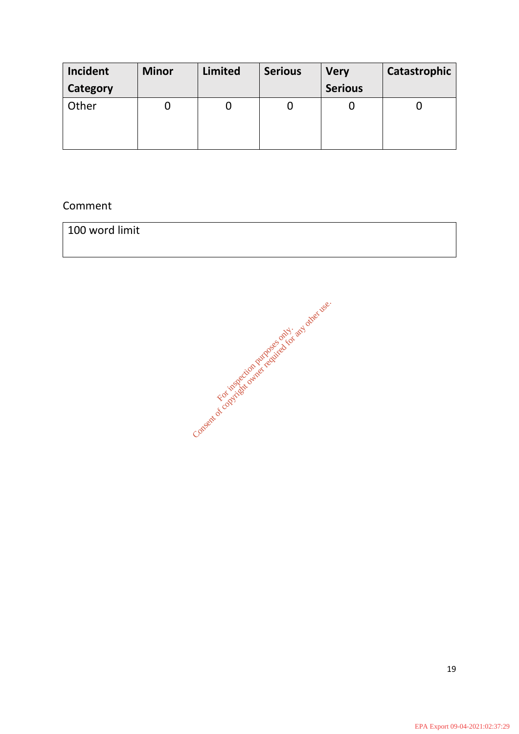| Incident<br>Category | <b>Minor</b> | <b>Limited</b> | <b>Serious</b> | <b>Very</b><br><b>Serious</b> | Catastrophic |
|----------------------|--------------|----------------|----------------|-------------------------------|--------------|
| Other                |              |                |                |                               |              |

#### Comment

| 100 word limit |  |  |
|----------------|--|--|
|                |  |  |

Consent of cor inspection purposes only. and other use.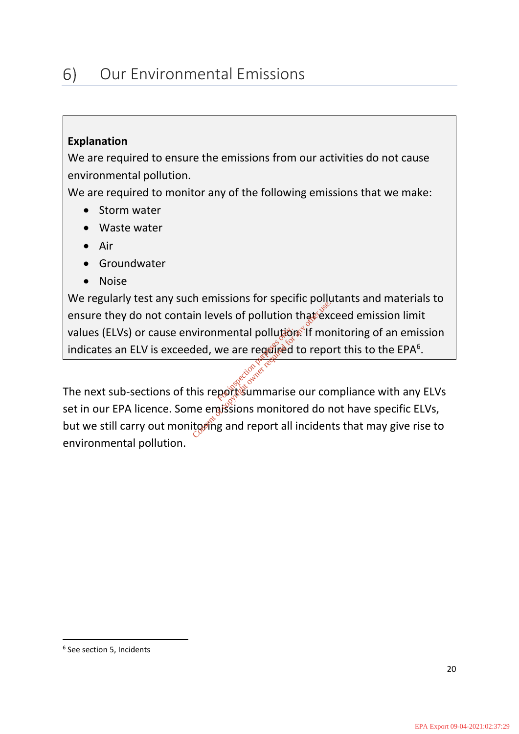#### <span id="page-19-0"></span>**Explanation**

We are required to ensure the emissions from our activities do not cause environmental pollution.

We are required to monitor any of the following emissions that we make:

- Storm water
- Waste water
- Air
- **Groundwater**
- Noise

We regularly test any such emissions for specific pollutants and materials to ensure they do not contain levels of pollution that exceed emission limit values (ELVs) or cause environmental pollution. If monitoring of an emission indicates an ELV is exceeded, we are reguived to report this to the EPA $6$ . but we still carry out monitoring and report all incidents that may give rise to the EPA licence. Some emissions monitored do not have specific ELVs,<br>but we still carry out monitoring and report all incidents that may give

The next sub-sections of this reported marise our compliance with any ELVs set in our EPA licence. Some emissions monitored do not have specific ELVs, environmental pollution.

<sup>6</sup> See section 5, Incidents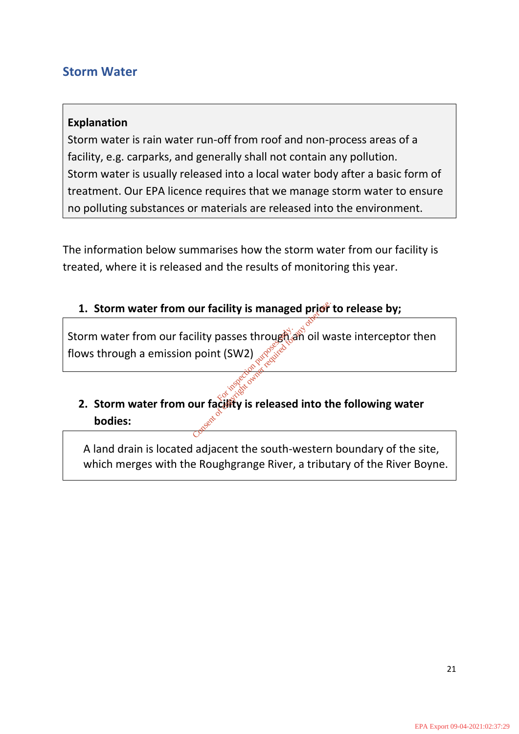#### <span id="page-20-0"></span>**Storm Water**

#### **Explanation**

Storm water is rain water run-off from roof and non-process areas of a facility, e.g. carparks, and generally shall not contain any pollution. Storm water is usually released into a local water body after a basic form of treatment. Our EPA licence requires that we manage storm water to ensure no polluting substances or materials are released into the environment.

The information below summarises how the storm water from our facility is treated, where it is released and the results of monitoring this year.

#### **1.** Storm water from our facility is managed prior to release by;

Storm water from our facility passes through an oil waste interceptor then<br>
flows through a emission point (SW2)<br>
2. Storm water from our facility is released into the following water<br>
bodies: flows through a emission point (SW2) our facility is managed prior<br>Consent of consenting the control of any other<br>point (SW2) and consent of a property of any other use.<br>Society is released into the consent of the consent of the consent of the consent of the

#### **2. Storm water from our facility is released into the following water bodies:**

A land drain is located adjacent the south-western boundary of the site, which merges with the Roughgrange River, a tributary of the River Boyne.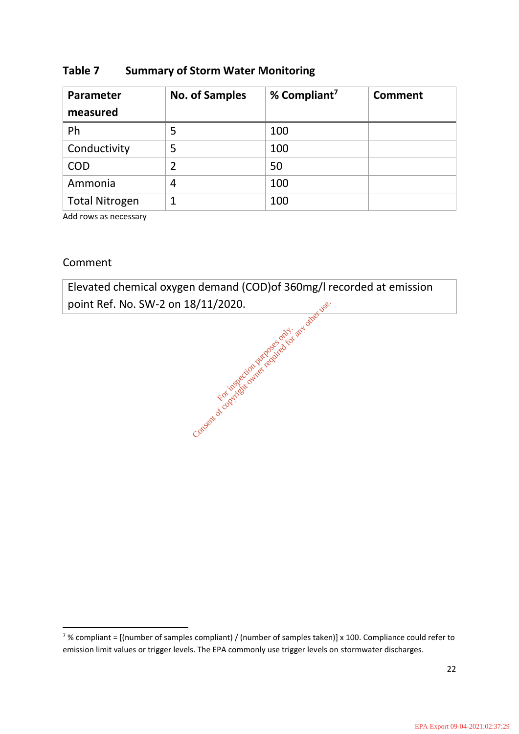#### **Table 7 Summary of Storm Water Monitoring**

| Parameter<br>measured | <b>No. of Samples</b> | % Compliant <sup>7</sup> | <b>Comment</b> |
|-----------------------|-----------------------|--------------------------|----------------|
| Ph                    |                       | 100                      |                |
| Conductivity          |                       | 100                      |                |
| <b>COD</b>            |                       | 50                       |                |
| Ammonia               | 4                     | 100                      |                |
| <b>Total Nitrogen</b> |                       | 100                      |                |

Add rows as necessary

#### Comment

Elevated chemical oxygen demand (COD)of 360mg/l recorded at emission point Ref. No. SW-2 on 18/11/2020. S/11/2020.<br>Entry of constrained for any other control and other use.

 $7\%$  compliant = [(number of samples compliant) / (number of samples taken)] x 100. Compliance could refer to emission limit values or trigger levels. The EPA commonly use trigger levels on stormwater discharges.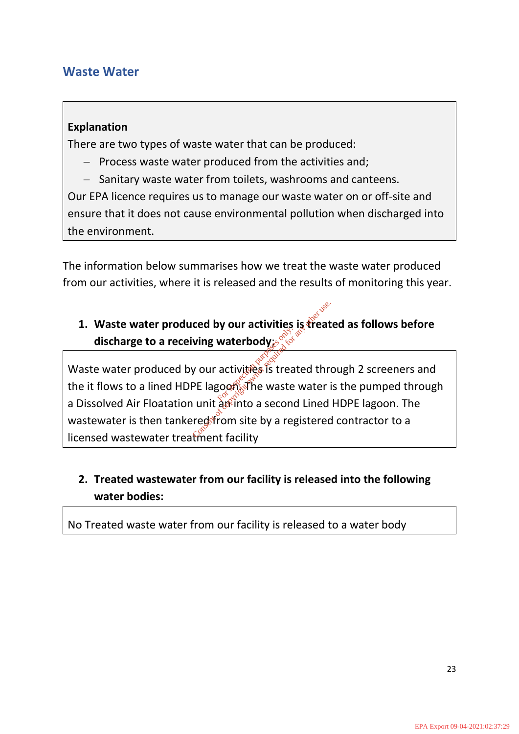#### <span id="page-22-0"></span>**Waste Water**

#### **Explanation**

There are two types of waste water that can be produced:

- − Process waste water produced from the activities and;
- − Sanitary waste water from toilets, washrooms and canteens.

Our EPA licence requires us to manage our waste water on or off-site and ensure that it does not cause environmental pollution when discharged into the environment.

The information below summarises how we treat the waste water produced from our activities, where it is released and the results of monitoring this year.

#### **1. Waste water produced by our activities is treated as follows before discharge to a receiving waterbody**;

Waste water produced by our activities is treated through 2 screeners and the it flows to a lined HDPE lagoon. The waste water is the pumped through a Dissolved Air Floatation unit an into a second Lined HDPE lagoon. The wastewater is then tankered from site by a registered contractor to a licensed wastewater treatment facility **Example 2018 APROVE OF STRING STRING CONTROLLER CONTROLLER CONTROLLER CONTROLLER CONTROLLER CONTROLLER CONTROLLER CONTROLLER CONTROLLER CONTROLLER CONTROLLER CONTROLLER CONTROLLER CONTROLLER CONTROLLER CONTROLLER CONTROLL** Conserved by our activities is treat<br>
ving waterbody:<br>
y our activities is treated three<br>
PE lagoon. The waste water is<br>
unit any into a second Lined<br>
red from site by a registered

#### **2. Treated wastewater from our facility is released into the following water bodies:**

No Treated waste water from our facility is released to a water body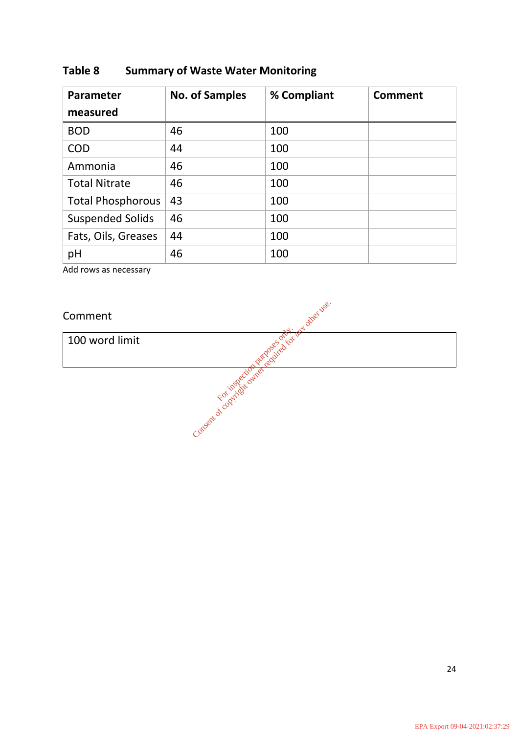#### **Table 8 Summary of Waste Water Monitoring**

| <b>Parameter</b>         | <b>No. of Samples</b> | % Compliant | <b>Comment</b> |
|--------------------------|-----------------------|-------------|----------------|
| measured                 |                       |             |                |
| <b>BOD</b>               | 46                    | 100         |                |
| <b>COD</b>               | 44                    | 100         |                |
| Ammonia                  | 46                    | 100         |                |
| <b>Total Nitrate</b>     | 46                    | 100         |                |
| <b>Total Phosphorous</b> | 43                    | 100         |                |
| <b>Suspended Solids</b>  | 46                    | 100         |                |
| Fats, Oils, Greases      | 44                    | 100         |                |
| pH                       | 46                    | 100         |                |

Consent of copyright owner currences only. and other use.

Add rows as necessary

Comment

100 word limit

24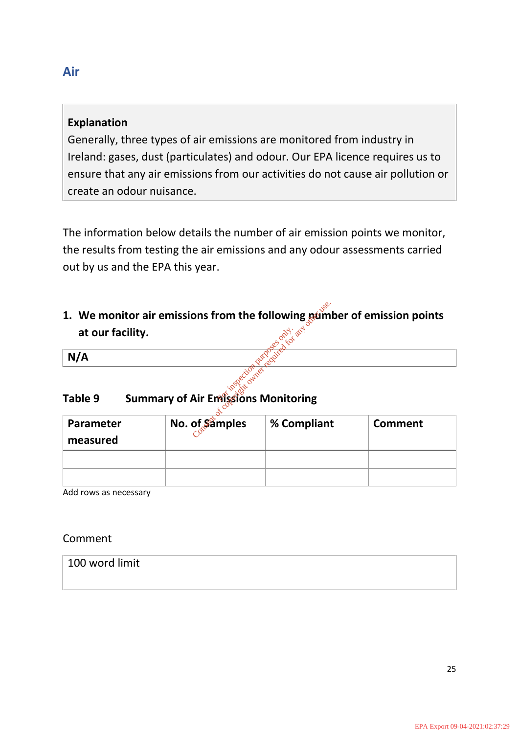#### <span id="page-24-0"></span>**Explanation**

Generally, three types of air emissions are monitored from industry in Ireland: gases, dust (particulates) and odour. Our EPA licence requires us to ensure that any air emissions from our activities do not cause air pollution or create an odour nuisance.

The information below details the number of air emission points we monitor, the results from testing the air emissions and any odour assessments carried out by us and the EPA this year.

1. We monitor air emissions from the following namber of emission points **at our facility.** ons from the following num<br>
Explorations Monitoring<br>
of Samples 80 Compliant

#### **Table 9 Summary of Air Emissions Monitoring**

| at our facility.      |                                            | $\cdot \circ \mathfrak{B}^{\mathfrak{S}}$ |                |
|-----------------------|--------------------------------------------|-------------------------------------------|----------------|
| N/A                   |                                            |                                           |                |
| Table 9               | <b>Summary of Air Emissions Monitoring</b> |                                           |                |
| Parameter<br>measured | No. of Samples                             | % Compliant                               | <b>Comment</b> |
|                       |                                            |                                           |                |
|                       |                                            |                                           |                |

Add rows as necessary

#### Comment

| 100 word limit |  |
|----------------|--|
|                |  |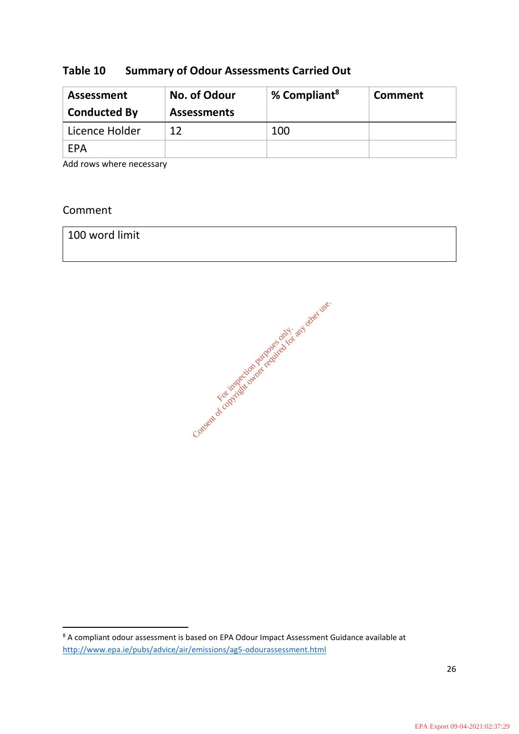#### **Table 10 Summary of Odour Assessments Carried Out**

| <b>Assessment</b><br><b>Conducted By</b> | No. of Odour<br><b>Assessments</b> | % Compliant <sup>8</sup> | Comment |
|------------------------------------------|------------------------------------|--------------------------|---------|
| Licence Holder                           | 12                                 | 100                      |         |
| EPA                                      |                                    |                          |         |

Add rows where necessary

#### Comment

100 word limit



<sup>8</sup> A compliant odour assessment is based on EPA Odour Impact Assessment Guidance available at <http://www.epa.ie/pubs/advice/air/emissions/ag5-odourassessment.html>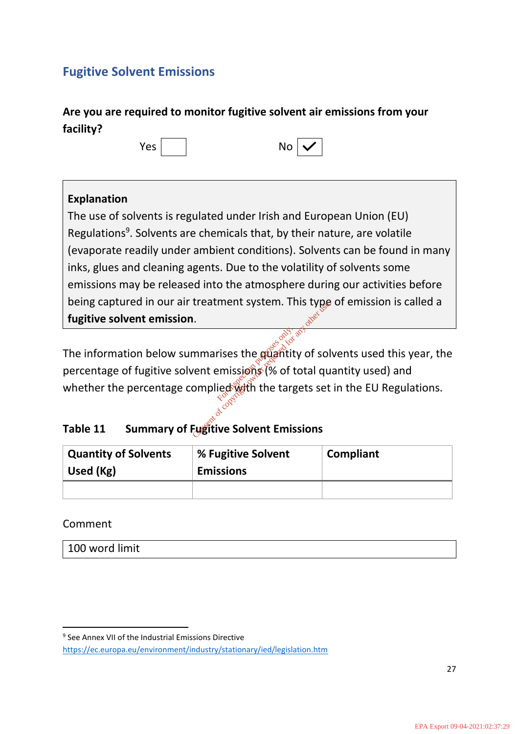#### <span id="page-26-0"></span>**Fugitive Solvent Emissions**

#### **Are you are required to monitor fugitive solvent air emissions from your facility?**



#### **Explanation**

The use of solvents is regulated under Irish and European Union (EU) Regulations<sup>9</sup>. Solvents are chemicals that, by their nature, are volatile (evaporate readily under ambient conditions). Solvents can be found in many inks, glues and cleaning agents. Due to the volatility of solvents some emissions may be released into the atmosphere during our activities before being captured in our air treatment system. This type of emission is called a **fugitive solvent emission**.

The information below summarises the  $\mathfrak{gl}^{\mathfrak{g}}_{\mathfrak{g}}$  and this year, the state information below summarises the  $\mathfrak{gl}^{\mathfrak{g}}_{\mathfrak{g}}$  and the solvents used this year, the percentage of fugitive solvent emissions (% of total quantity used) and whether the percentage complied with the targets set in the EU Regulations. mmarises the gruantitive mission of the gruantitive solvent Emission contracts on the transition of the solvent Emission of the Solvent Emission of the Solvent Emission purpose of the Solvent Emission purpose of the Solven Conserved the attention of containers and a state of containments of containing the conserved of colored for any other conserved and complied with the targets set

#### **Table 11 Summary of Fugitive Solvent Emissions**

| Quantity of Solvents<br>Used (Kg) | % Fugitive Solvent<br><b>Emissions</b> | Compliant |
|-----------------------------------|----------------------------------------|-----------|
|                                   |                                        |           |

#### Comment

100 word limit

<sup>&</sup>lt;sup>9</sup> See Annex VII of the Industrial Emissions Directive

<https://ec.europa.eu/environment/industry/stationary/ied/legislation.htm>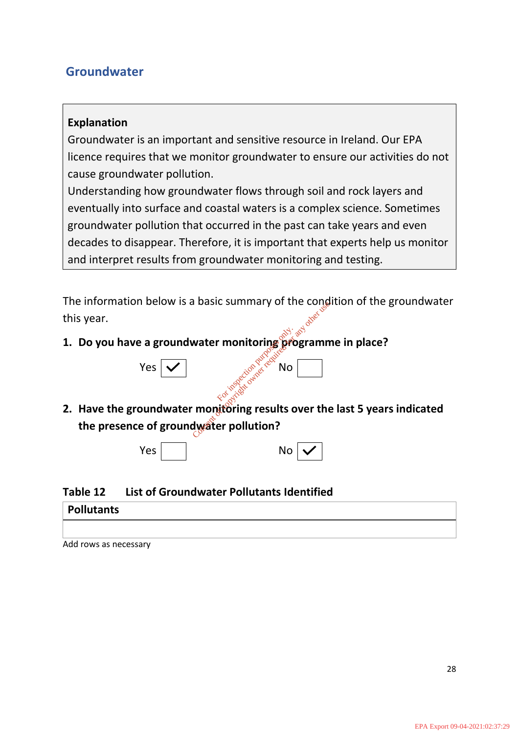#### <span id="page-27-0"></span>**Groundwater**

#### **Explanation**

Groundwater is an important and sensitive resource in Ireland. Our EPA licence requires that we monitor groundwater to ensure our activities do not cause groundwater pollution.

Understanding how groundwater flows through soil and rock layers and eventually into surface and coastal waters is a complex science. Sometimes groundwater pollution that occurred in the past can take years and even decades to disappear. Therefore, it is important that experts help us monitor and interpret results from groundwater monitoring and testing.

The information below is a basic summary of the condition of the groundwater this year.

**1. Do you have a groundwater monitoring programme in place?** 



**2. Have the groundwater monitoring results over the last 5 years indicated the presence of groundwater pollution? Example 2** The conservation purposes on the conservation purposes of conservation purposes on the diversion pollution?



**Table 12 List of Groundwater Pollutants Identified**



Add rows as necessary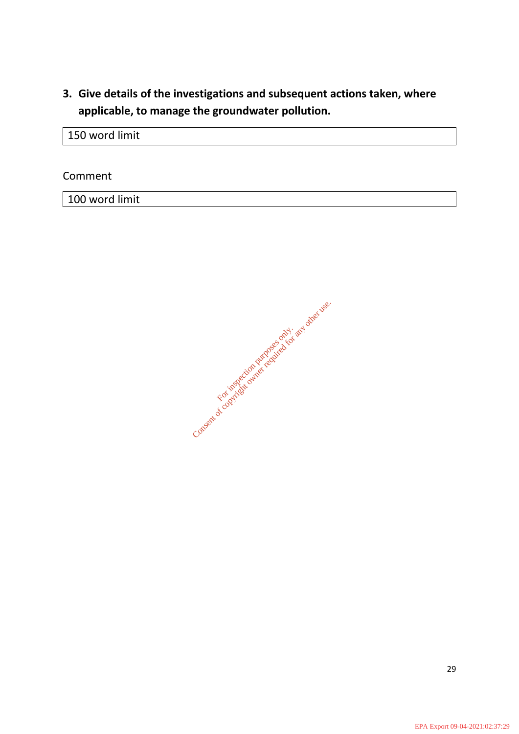**3. Give details of the investigations and subsequent actions taken, where applicable, to manage the groundwater pollution.**

150 word limit

Comment

100 word limit

Consent of cor inspection purposes only. and other use.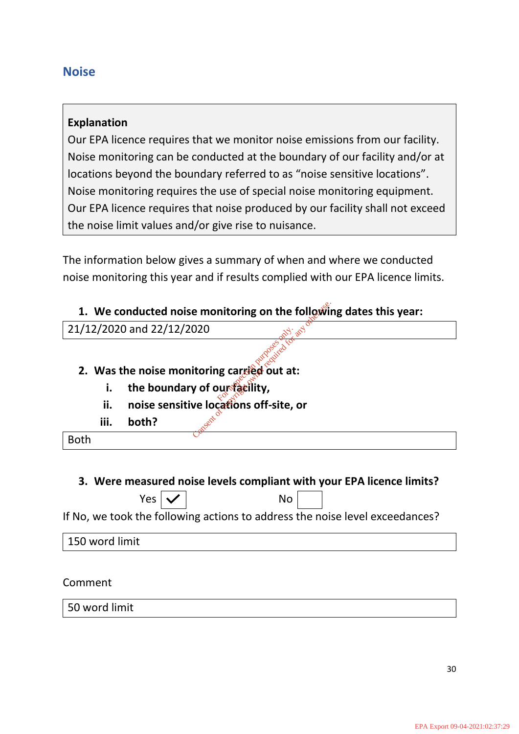#### <span id="page-29-0"></span>**Noise**

#### **Explanation**

Our EPA licence requires that we monitor noise emissions from our facility. Noise monitoring can be conducted at the boundary of our facility and/or at locations beyond the boundary referred to as "noise sensitive locations". Noise monitoring requires the use of special noise monitoring equipment. Our EPA licence requires that noise produced by our facility shall not exceed the noise limit values and/or give rise to nuisance.

The information below gives a summary of when and where we conducted noise monitoring this year and if results complied with our EPA licence limits.

#### **1. We conducted noise monitoring on the following dates this year:**

|                           |       |                                             | 1. We conducted noise monitoring on the followin |
|---------------------------|-------|---------------------------------------------|--------------------------------------------------|
| 21/12/2020 and 22/12/2020 |       |                                             |                                                  |
|                           |       | 2. Was the noise monitoring carried out at: |                                                  |
| i.                        |       | the boundary of our facility,               |                                                  |
| ii.                       |       | noise sensitive locations off-site, or      |                                                  |
| iii.                      | both? |                                             |                                                  |
|                           |       |                                             |                                                  |

#### **2. Was the noise monitoring carried out at:**

- **i.** the boundary of our facility,
- **ii. noise sensitive locations off-site, or**
- **iii. both?**

Both

### **3. Were measured noise levels compliant with your EPA licence limits?**

 $Yes | \n\checkmark |$  No

If No, we took the following actions to address the noise level exceedances?

| 150 word limit |
|----------------|
|----------------|

Comment

50 word limit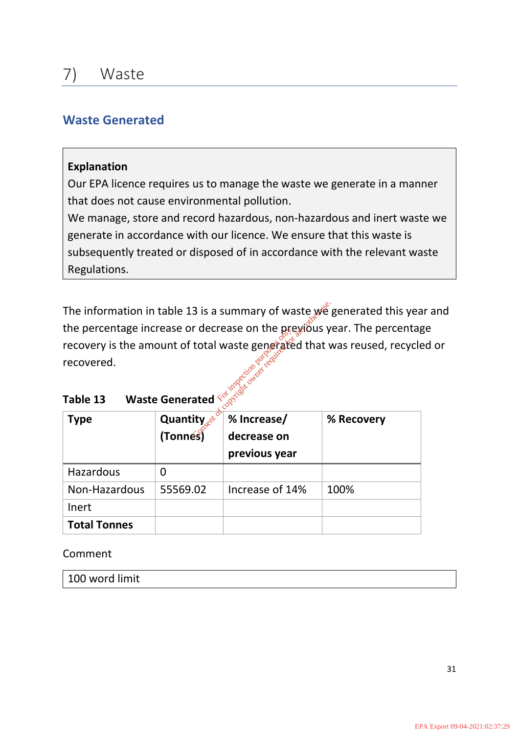#### <span id="page-30-1"></span><span id="page-30-0"></span>**Waste Generated**

#### **Explanation**

Our EPA licence requires us to manage the waste we generate in a manner that does not cause environmental pollution.

We manage, store and record hazardous, non-hazardous and inert waste we generate in accordance with our licence. We ensure that this waste is subsequently treated or disposed of in accordance with the relevant waste Regulations.

The information in table 13 is a summary of waste  $w\tilde{e}$  generated this year and the percentage increase or decrease on the previous year. The percentage recovery is the amount of total waste generated that was reused, recycled or recovered. **Example 2**<br>
Increase on the previous y<br>
it total waste generated that v<br>
rated  $\frac{\cos \theta}{\cos \theta}$ <br>
ity  $\frac{\cos \theta}{\cos \theta}$  % Increase/<br> **Example 2** 

| Table 13 |  | Waste Generated $\frac{e^{C}}{C}$ |  |
|----------|--|-----------------------------------|--|
|          |  |                                   |  |

| Type                | Quantity $\sqrt{\mathfrak{g}^{\mathfrak{g}^{\mathfrak{g}}}$<br>$(Tonn \mathbf{e} \mathbf{s})$ | % Increase/<br>decrease on<br>previous year | % Recovery |
|---------------------|-----------------------------------------------------------------------------------------------|---------------------------------------------|------------|
| <b>Hazardous</b>    |                                                                                               |                                             |            |
| Non-Hazardous       | 55569.02                                                                                      | Increase of 14%                             | 100%       |
| Inert               |                                                                                               |                                             |            |
| <b>Total Tonnes</b> |                                                                                               |                                             |            |

#### Comment

| 100 word limit |  |  |
|----------------|--|--|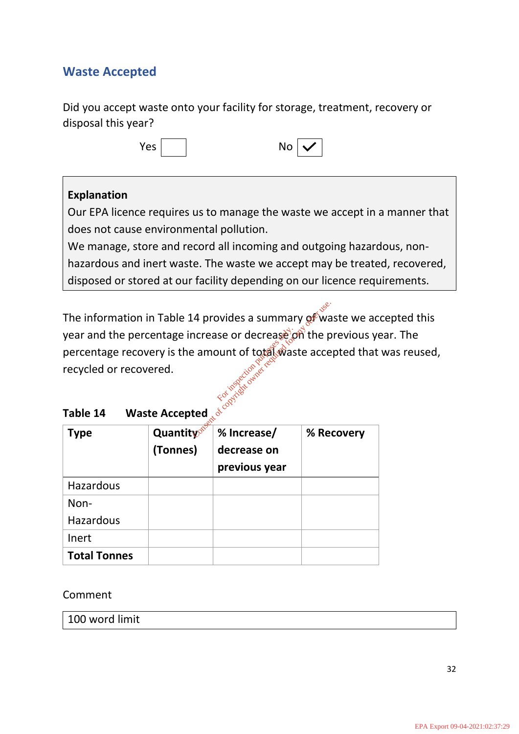#### <span id="page-31-0"></span>**Waste Accepted**

Did you accept waste onto your facility for storage, treatment, recovery or disposal this year?

| ⁄ ρς | <b>No</b> | $\sqrt{}$ |  |
|------|-----------|-----------|--|
|      |           |           |  |

#### **Explanation**

Our EPA licence requires us to manage the waste we accept in a manner that does not cause environmental pollution.

We manage, store and record all incoming and outgoing hazardous, nonhazardous and inert waste. The waste we accept may be treated, recovered, disposed or stored at our facility depending on our licence requirements.

The information in Table 14 provides a summary  $\mathbb{R}^3$  waste we accepted this year and the percentage increase or decrease on the previous year. The percentage recovery is the amount of total waste accepted that was reused, recycled or recovered. 14 provides a summary of ward increase or decrease on the purpose of the purpose of the purpose of  $\frac{1}{2}$  and  $\frac{1}{2}$  and  $\frac{1}{2}$  and  $\frac{1}{2}$  and  $\frac{1}{2}$  and  $\frac{1}{2}$  and  $\frac{1}{2}$  and  $\frac{1}{2}$  and  $\frac{1}{2}$ 

| Table 14 |  | <b>Waste Accepted</b> |
|----------|--|-----------------------|
|----------|--|-----------------------|

| <b>Type</b>         | Quantity $\frac{1}{\sqrt{2}}$<br>(Tonnes) | % Increase/<br>decrease on<br>previous year | % Recovery |
|---------------------|-------------------------------------------|---------------------------------------------|------------|
| Hazardous           |                                           |                                             |            |
| Non-                |                                           |                                             |            |
| Hazardous           |                                           |                                             |            |
| Inert               |                                           |                                             |            |
| <b>Total Tonnes</b> |                                           |                                             |            |

Comment

100 word limit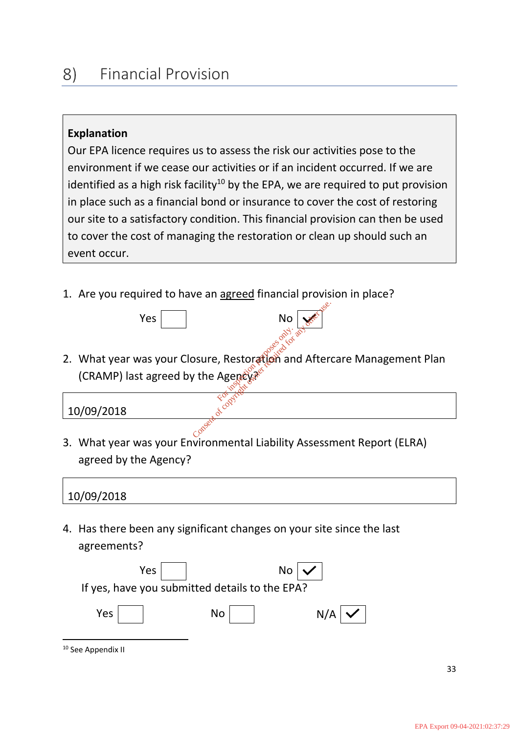#### <span id="page-32-0"></span>8) Financial Provision

#### **Explanation**

Our EPA licence requires us to assess the risk our activities pose to the environment if we cease our activities or if an incident occurred. If we are identified as a high risk facility<sup>10</sup> by the EPA, we are required to put provision in place such as a financial bond or insurance to cover the cost of restoring our site to a satisfactory condition. This financial provision can then be used to cover the cost of managing the restoration or clean up should such an event occur.

1. Are you required to have an agreed financial provision in place?



2. What year was your Closure, Restoration and Aftercare Management Plan (CRAMP) last agreed by the Agency? **Solution Purpose only.**<br> **Sure, Restoration and Algentisch**<br>
The Agency.<sup>266</sup><br>
Sure of Scotland Contraction and Contract on the Agency.<sup>266</sup>

10/09/2018

3. What year was your Environmental Liability Assessment Report (ELRA) agreed by the Agency?

#### 10/09/2018

4. Has there been any significant changes on your site since the last agreements?



<sup>10</sup> See Appendix II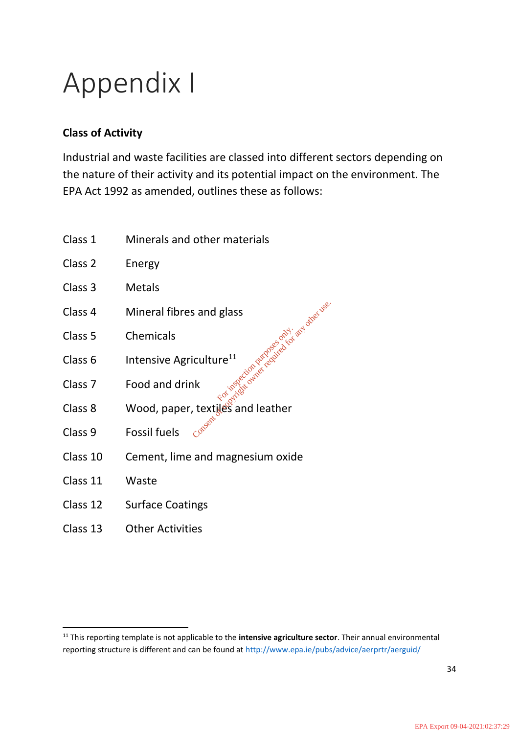## Appendix I

#### **Class of Activity**

Industrial and waste facilities are classed into different sectors depending on the nature of their activity and its potential impact on the environment. The EPA Act 1992 as amended, outlines these as follows:

- Class 1 Minerals and other materials
- Class 2 Energy
- Class 3 Metals
- Class 4 Mineral fibres and glass
- Class 5 Chemicals
- Class 6 Intensive Agriculture<sup>11</sup>
- Class 7 Food and drink
- Class 8 Wood, paper, textiles and leather **Sand glass**<br>
Sand glass<br>
Conserved on a strange only.<br>
The consent of conserved for any other<br>
Consent only and leather
- Class 9 Fossil fuels
- Class 10 Cement, lime and magnesium oxide
- Class 11 Waste
- Class 12 Surface Coatings
- Class 13 Other Activities

<sup>11</sup> This reporting template is not applicable to the **intensive agriculture sector**. Their annual environmental reporting structure is different and can be found a[t http://www.epa.ie/pubs/advice/aerprtr/aerguid/](http://www.epa.ie/pubs/advice/aerprtr/aerguid/)